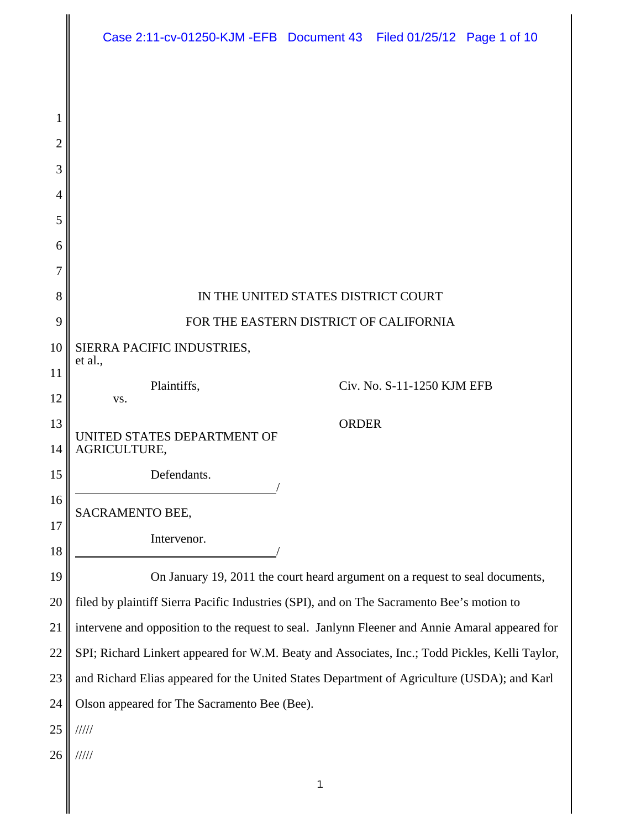|                | Case 2:11-cv-01250-KJM-EFB Document 43 Filed 01/25/12 Page 1 of 10                             |  |
|----------------|------------------------------------------------------------------------------------------------|--|
|                |                                                                                                |  |
| 1              |                                                                                                |  |
| $\overline{2}$ |                                                                                                |  |
| 3              |                                                                                                |  |
| 4              |                                                                                                |  |
| 5              |                                                                                                |  |
| 6              |                                                                                                |  |
| 7              |                                                                                                |  |
| 8              | IN THE UNITED STATES DISTRICT COURT                                                            |  |
| 9              | FOR THE EASTERN DISTRICT OF CALIFORNIA                                                         |  |
| 10             | SIERRA PACIFIC INDUSTRIES,<br>et al.,                                                          |  |
| 11<br>12       | Plaintiffs,<br>Civ. No. S-11-1250 KJM EFB<br>VS.                                               |  |
| 13<br>14       | <b>ORDER</b><br>UNITED STATES DEPARTMENT OF<br>AGRICULTURE,                                    |  |
| 15             | Defendants.                                                                                    |  |
| 16<br>17       | SACRAMENTO BEE,                                                                                |  |
| 18             | Intervenor.                                                                                    |  |
| 19             | On January 19, 2011 the court heard argument on a request to seal documents,                   |  |
| 20             | filed by plaintiff Sierra Pacific Industries (SPI), and on The Sacramento Bee's motion to      |  |
| 21             | intervene and opposition to the request to seal. Janlynn Fleener and Annie Amaral appeared for |  |
| 22             | SPI; Richard Linkert appeared for W.M. Beaty and Associates, Inc.; Todd Pickles, Kelli Taylor, |  |
| 23             | and Richard Elias appeared for the United States Department of Agriculture (USDA); and Karl    |  |
| 24             | Olson appeared for The Sacramento Bee (Bee).                                                   |  |
| 25             | 11111                                                                                          |  |
| 26             | 11111                                                                                          |  |
|                |                                                                                                |  |
|                | $\mathbf 1$                                                                                    |  |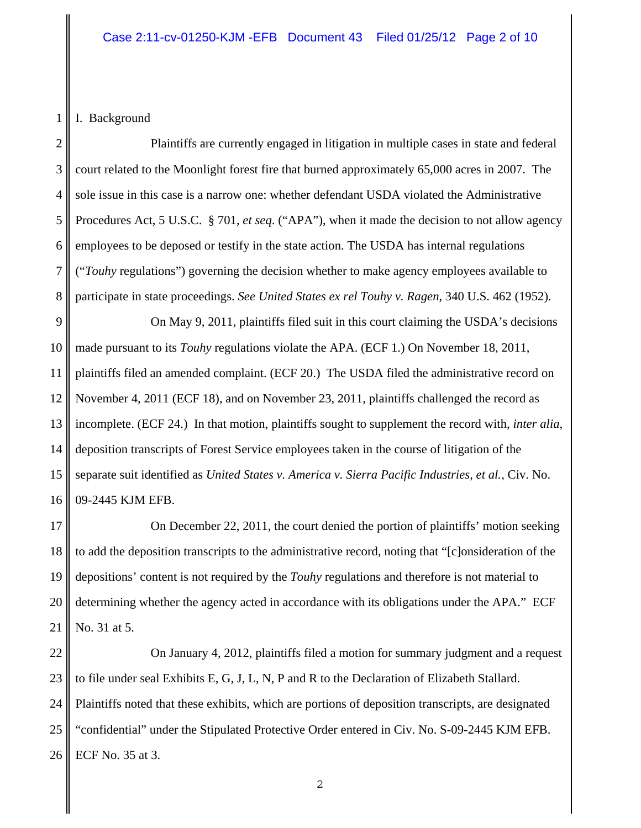1 I. Background

2 3 4 5 6 7 8 Plaintiffs are currently engaged in litigation in multiple cases in state and federal court related to the Moonlight forest fire that burned approximately 65,000 acres in 2007. The sole issue in this case is a narrow one: whether defendant USDA violated the Administrative Procedures Act, 5 U.S.C. § 701, *et seq*. ("APA"), when it made the decision to not allow agency employees to be deposed or testify in the state action. The USDA has internal regulations ("*Touhy* regulations") governing the decision whether to make agency employees available to participate in state proceedings. *See United States ex rel Touhy v. Ragen*, 340 U.S. 462 (1952).

9 10 11 12 13 14 15 16 On May 9, 2011, plaintiffs filed suit in this court claiming the USDA's decisions made pursuant to its *Touhy* regulations violate the APA. (ECF 1.) On November 18, 2011, plaintiffs filed an amended complaint. (ECF 20.) The USDA filed the administrative record on November 4, 2011 (ECF 18), and on November 23, 2011, plaintiffs challenged the record as incomplete. (ECF 24.) In that motion, plaintiffs sought to supplement the record with, *inter alia*, deposition transcripts of Forest Service employees taken in the course of litigation of the separate suit identified as *United States v. America v. Sierra Pacific Industries, et al.*, Civ. No. 09-2445 KJM EFB.

17 18 19 20 21 On December 22, 2011, the court denied the portion of plaintiffs' motion seeking to add the deposition transcripts to the administrative record, noting that "[c]onsideration of the depositions' content is not required by the *Touhy* regulations and therefore is not material to determining whether the agency acted in accordance with its obligations under the APA." ECF No. 31 at 5.

22 23 24 25 26 On January 4, 2012, plaintiffs filed a motion for summary judgment and a request to file under seal Exhibits E, G, J, L, N, P and R to the Declaration of Elizabeth Stallard. Plaintiffs noted that these exhibits, which are portions of deposition transcripts, are designated "confidential" under the Stipulated Protective Order entered in Civ. No. S-09-2445 KJM EFB. ECF No. 35 at 3.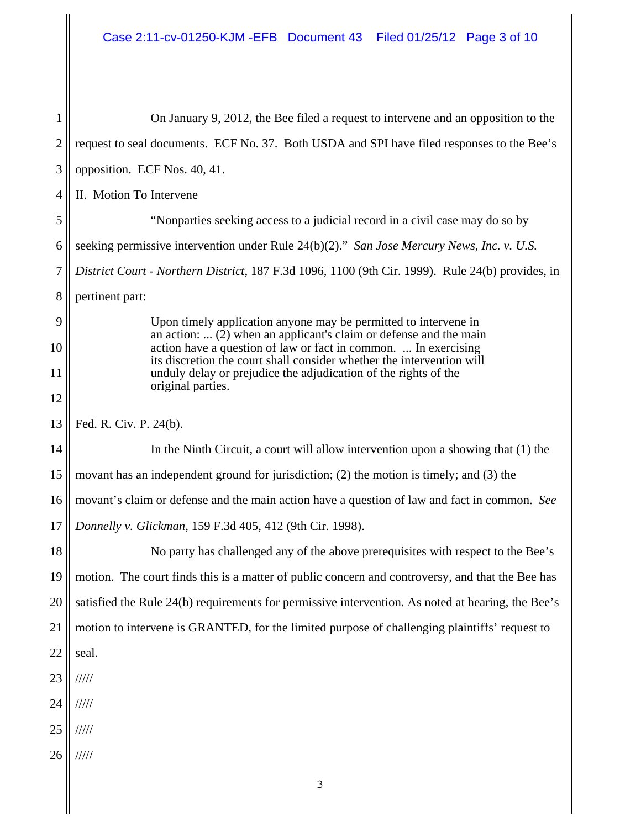1 2 3 4 5 6 7 8 9 10 11 12 13 14 15 16 17 18 19 20 21 22 23 24 25 26 On January 9, 2012, the Bee filed a request to intervene and an opposition to the request to seal documents. ECF No. 37. Both USDA and SPI have filed responses to the Bee's opposition. ECF Nos. 40, 41. II. Motion To Intervene "Nonparties seeking access to a judicial record in a civil case may do so by seeking permissive intervention under Rule 24(b)(2)." *San Jose Mercury News, Inc. v. U.S. District Court - Northern District*, 187 F.3d 1096, 1100 (9th Cir. 1999). Rule 24(b) provides, in pertinent part: Upon timely application anyone may be permitted to intervene in an action:  $\ldots$  (2) when an applicant's claim or defense and the main action have a question of law or fact in common. ... In exercising its discretion the court shall consider whether the intervention will unduly delay or prejudice the adjudication of the rights of the original parties. Fed. R. Civ. P. 24(b). In the Ninth Circuit, a court will allow intervention upon a showing that (1) the movant has an independent ground for jurisdiction; (2) the motion is timely; and (3) the movant's claim or defense and the main action have a question of law and fact in common. *See Donnelly v. Glickman*, 159 F.3d 405, 412 (9th Cir. 1998). No party has challenged any of the above prerequisites with respect to the Bee's motion. The court finds this is a matter of public concern and controversy, and that the Bee has satisfied the Rule 24(b) requirements for permissive intervention. As noted at hearing, the Bee's motion to intervene is GRANTED, for the limited purpose of challenging plaintiffs' request to seal. ///// ///// ///// /////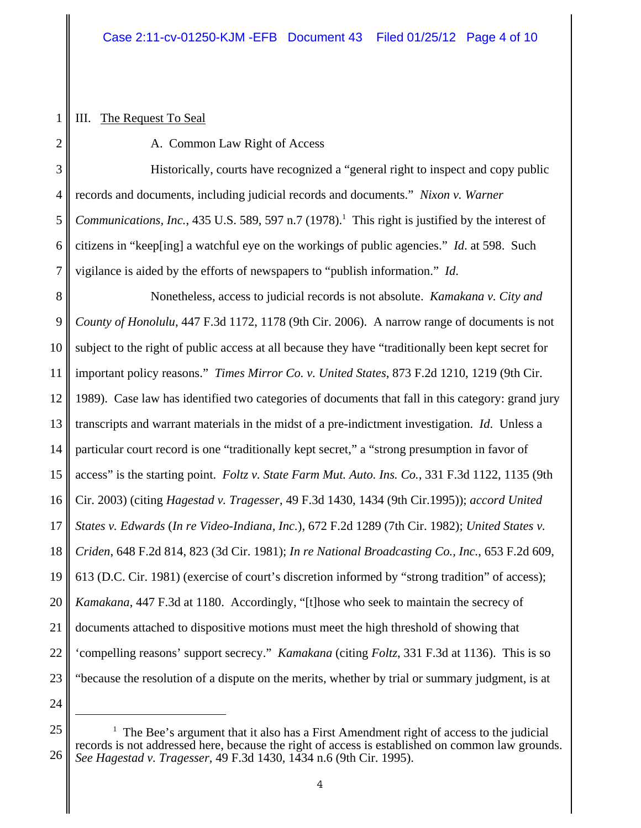## III. The Request To Seal

1

2

A. Common Law Right of Access

3 4 5 6 7 Historically, courts have recognized a "general right to inspect and copy public records and documents, including judicial records and documents." *Nixon v. Warner* Communications, Inc., 435 U.S. 589, 597 n.7 (1978).<sup>1</sup> This right is justified by the interest of citizens in "keep[ing] a watchful eye on the workings of public agencies." *Id*. at 598. Such vigilance is aided by the efforts of newspapers to "publish information." *Id*.

8 9 10 11 12 13 14 15 16 17 18 19 20 21 22 23 Nonetheless, access to judicial records is not absolute. *Kamakana v. City and County of Honolulu*, 447 F.3d 1172, 1178 (9th Cir. 2006). A narrow range of documents is not subject to the right of public access at all because they have "traditionally been kept secret for important policy reasons." *Times Mirror Co. v. United States*, 873 F.2d 1210, 1219 (9th Cir. 1989). Case law has identified two categories of documents that fall in this category: grand jury transcripts and warrant materials in the midst of a pre-indictment investigation. *Id*. Unless a particular court record is one "traditionally kept secret," a "strong presumption in favor of access" is the starting point. *Foltz v. State Farm Mut. Auto. Ins. Co.*, 331 F.3d 1122, 1135 (9th Cir. 2003) (citing *Hagestad v. Tragesser*, 49 F.3d 1430, 1434 (9th Cir.1995)); *accord United States v. Edwards* (*In re Video-Indiana, Inc.*), 672 F.2d 1289 (7th Cir. 1982); *United States v. Criden*, 648 F.2d 814, 823 (3d Cir. 1981); *In re National Broadcasting Co., Inc.*, 653 F.2d 609, 613 (D.C. Cir. 1981) (exercise of court's discretion informed by "strong tradition" of access); *Kamakana*, 447 F.3d at 1180. Accordingly, "[t]hose who seek to maintain the secrecy of documents attached to dispositive motions must meet the high threshold of showing that 'compelling reasons' support secrecy." *Kamakana* (citing *Foltz*, 331 F.3d at 1136). This is so "because the resolution of a dispute on the merits, whether by trial or summary judgment, is at

<sup>25</sup> 26  $1$  The Bee's argument that it also has a First Amendment right of access to the judicial records is not addressed here, because the right of access is established on common law grounds. *See Hagestad v. Tragesser*, 49 F.3d 1430, 1434 n.6 (9th Cir. 1995).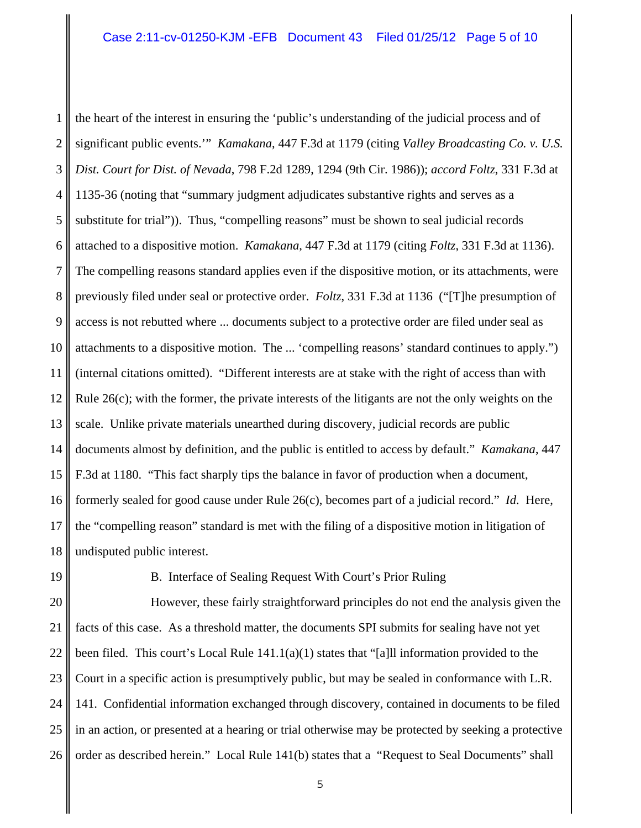1 2 3 4 5 6 7 8 9 10 11 12 13 14 15 16 17 18 the heart of the interest in ensuring the 'public's understanding of the judicial process and of significant public events.'" *Kamakana*, 447 F.3d at 1179 (citing *Valley Broadcasting Co. v. U.S. Dist. Court for Dist. of Nevada*, 798 F.2d 1289, 1294 (9th Cir. 1986)); *accord Foltz*, 331 F.3d at 1135-36 (noting that "summary judgment adjudicates substantive rights and serves as a substitute for trial")). Thus, "compelling reasons" must be shown to seal judicial records attached to a dispositive motion. *Kamakana*, 447 F.3d at 1179 (citing *Foltz*, 331 F.3d at 1136). The compelling reasons standard applies even if the dispositive motion, or its attachments, were previously filed under seal or protective order. *Foltz*, 331 F.3d at 1136 ("[T]he presumption of access is not rebutted where ... documents subject to a protective order are filed under seal as attachments to a dispositive motion. The ... 'compelling reasons' standard continues to apply.") (internal citations omitted). "Different interests are at stake with the right of access than with Rule 26(c); with the former, the private interests of the litigants are not the only weights on the scale. Unlike private materials unearthed during discovery, judicial records are public documents almost by definition, and the public is entitled to access by default." *Kamakana*, 447 F.3d at 1180. "This fact sharply tips the balance in favor of production when a document, formerly sealed for good cause under Rule 26(c), becomes part of a judicial record." *Id*. Here, the "compelling reason" standard is met with the filing of a dispositive motion in litigation of undisputed public interest.

19

B. Interface of Sealing Request With Court's Prior Ruling

20 21 22 23 24 25 26 However, these fairly straightforward principles do not end the analysis given the facts of this case. As a threshold matter, the documents SPI submits for sealing have not yet been filed. This court's Local Rule  $141.1(a)(1)$  states that "[a]ll information provided to the Court in a specific action is presumptively public, but may be sealed in conformance with L.R. 141. Confidential information exchanged through discovery, contained in documents to be filed in an action, or presented at a hearing or trial otherwise may be protected by seeking a protective order as described herein." Local Rule 141(b) states that a "Request to Seal Documents" shall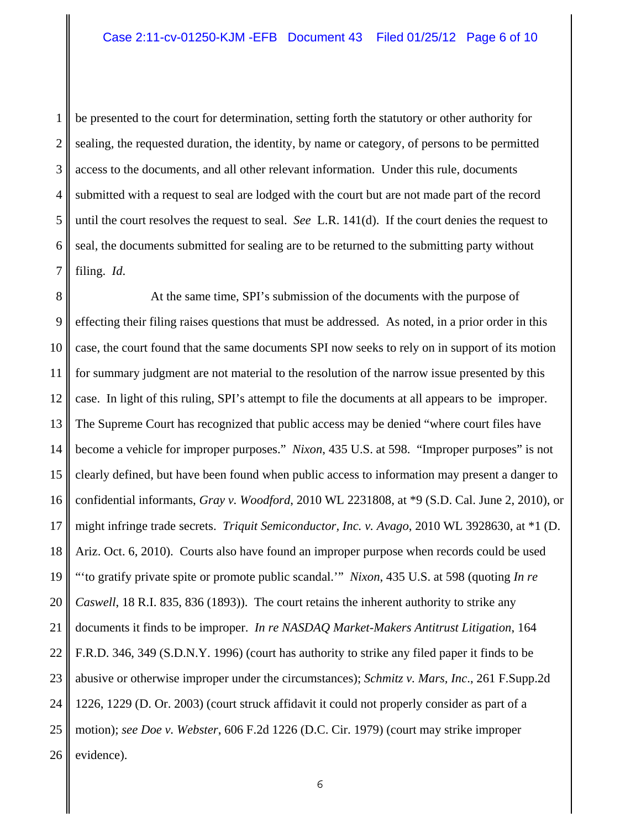1 2 3 4 5 6 7 be presented to the court for determination, setting forth the statutory or other authority for sealing, the requested duration, the identity, by name or category, of persons to be permitted access to the documents, and all other relevant information. Under this rule, documents submitted with a request to seal are lodged with the court but are not made part of the record until the court resolves the request to seal. *See* L.R. 141(d). If the court denies the request to seal, the documents submitted for sealing are to be returned to the submitting party without filing. *Id*.

8 9 10 11 12 13 14 15 16 17 18 19 20 21 22 23 24 25 26 At the same time, SPI's submission of the documents with the purpose of effecting their filing raises questions that must be addressed. As noted, in a prior order in this case, the court found that the same documents SPI now seeks to rely on in support of its motion for summary judgment are not material to the resolution of the narrow issue presented by this case. In light of this ruling, SPI's attempt to file the documents at all appears to be improper. The Supreme Court has recognized that public access may be denied "where court files have become a vehicle for improper purposes." *Nixon*, 435 U.S. at 598. "Improper purposes" is not clearly defined, but have been found when public access to information may present a danger to confidential informants, *Gray v. Woodford*, 2010 WL 2231808, at \*9 (S.D. Cal. June 2, 2010), or might infringe trade secrets. *Triquit Semiconductor, Inc. v. Avago*, 2010 WL 3928630, at \*1 (D. Ariz. Oct. 6, 2010). Courts also have found an improper purpose when records could be used "'to gratify private spite or promote public scandal.'" *Nixon*, 435 U.S. at 598 (quoting *In re Caswell*, 18 R.I. 835, 836 (1893)). The court retains the inherent authority to strike any documents it finds to be improper. *In re NASDAQ Market-Makers Antitrust Litigation*, 164 F.R.D. 346, 349 (S.D.N.Y. 1996) (court has authority to strike any filed paper it finds to be abusive or otherwise improper under the circumstances); *Schmitz v. Mars, Inc*., 261 F.Supp.2d 1226, 1229 (D. Or. 2003) (court struck affidavit it could not properly consider as part of a motion); *see Doe v. Webster*, 606 F.2d 1226 (D.C. Cir. 1979) (court may strike improper evidence).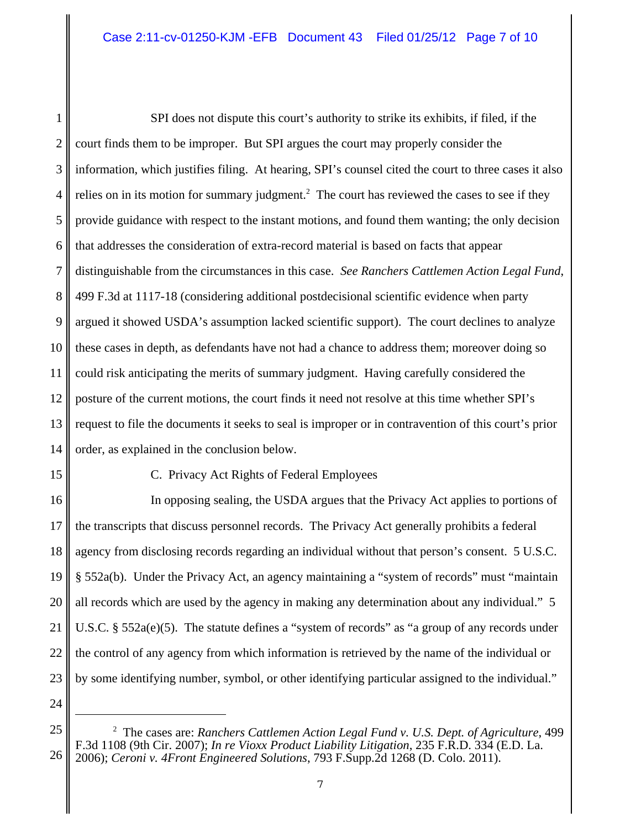1 2 3 4 5 6 7 8 9 10 11 12 13 14 SPI does not dispute this court's authority to strike its exhibits, if filed, if the court finds them to be improper. But SPI argues the court may properly consider the information, which justifies filing. At hearing, SPI's counsel cited the court to three cases it also relies on in its motion for summary judgment.<sup>2</sup> The court has reviewed the cases to see if they provide guidance with respect to the instant motions, and found them wanting; the only decision that addresses the consideration of extra-record material is based on facts that appear distinguishable from the circumstances in this case. *See Ranchers Cattlemen Action Legal Fund*, 499 F.3d at 1117-18 (considering additional postdecisional scientific evidence when party argued it showed USDA's assumption lacked scientific support). The court declines to analyze these cases in depth, as defendants have not had a chance to address them; moreover doing so could risk anticipating the merits of summary judgment. Having carefully considered the posture of the current motions, the court finds it need not resolve at this time whether SPI's request to file the documents it seeks to seal is improper or in contravention of this court's prior order, as explained in the conclusion below.

15 16 C. Privacy Act Rights of Federal Employees

17 18 19 20 21 22 23 In opposing sealing, the USDA argues that the Privacy Act applies to portions of the transcripts that discuss personnel records. The Privacy Act generally prohibits a federal agency from disclosing records regarding an individual without that person's consent. 5 U.S.C. § 552a(b). Under the Privacy Act, an agency maintaining a "system of records" must "maintain all records which are used by the agency in making any determination about any individual." 5 U.S.C. § 552a(e)(5). The statute defines a "system of records" as "a group of any records under the control of any agency from which information is retrieved by the name of the individual or by some identifying number, symbol, or other identifying particular assigned to the individual."

<sup>25</sup> 26 2 The cases are: *Ranchers Cattlemen Action Legal Fund v. U.S. Dept. of Agriculture*, 499 F.3d 1108 (9th Cir. 2007); *In re Vioxx Product Liability Litigation*, 235 F.R.D. 334 (E.D. La. 2006); *Ceroni v. 4Front Engineered Solutions*, 793 F.Supp.2d 1268 (D. Colo. 2011).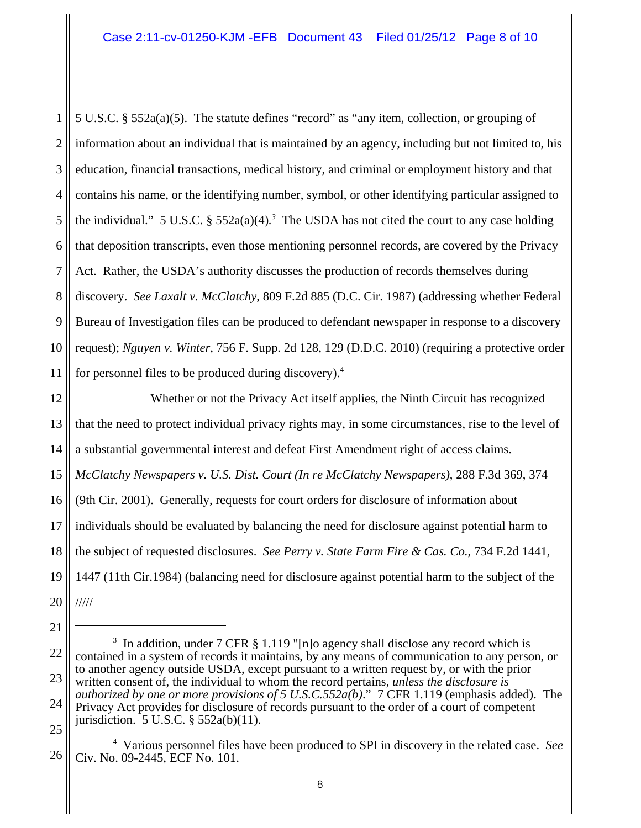1 2 3 4 5 6 7 8 9 10 11 5 U.S.C. § 552a(a)(5). The statute defines "record" as "any item, collection, or grouping of information about an individual that is maintained by an agency, including but not limited to, his education, financial transactions, medical history, and criminal or employment history and that contains his name, or the identifying number, symbol, or other identifying particular assigned to the individual." 5 U.S.C.  $\S$  552a(a)(4).<sup>3</sup> The USDA has not cited the court to any case holding that deposition transcripts, even those mentioning personnel records, are covered by the Privacy Act. Rather, the USDA's authority discusses the production of records themselves during discovery. *See Laxalt v. McClatchy*, 809 F.2d 885 (D.C. Cir. 1987) (addressing whether Federal Bureau of Investigation files can be produced to defendant newspaper in response to a discovery request); *Nguyen v. Winter*, 756 F. Supp. 2d 128, 129 (D.D.C. 2010) (requiring a protective order for personnel files to be produced during discovery).4

12 13 14 15 16 17 18 19 20 Whether or not the Privacy Act itself applies, the Ninth Circuit has recognized that the need to protect individual privacy rights may, in some circumstances, rise to the level of a substantial governmental interest and defeat First Amendment right of access claims. *McClatchy Newspapers v. U.S. Dist. Court (In re McClatchy Newspapers)*, 288 F.3d 369, 374 (9th Cir. 2001). Generally, requests for court orders for disclosure of information about individuals should be evaluated by balancing the need for disclosure against potential harm to the subject of requested disclosures. *See Perry v. State Farm Fire & Cas. Co.*, 734 F.2d 1441, 1447 (11th Cir.1984) (balancing need for disclosure against potential harm to the subject of the /////

21

<sup>22</sup> 23 24 <sup>3</sup> In addition, under 7 CFR § 1.119 "[n]o agency shall disclose any record which is contained in a system of records it maintains, by any means of communication to any person, or to another agency outside USDA, except pursuant to a written request by, or with the prior written consent of, the individual to whom the record pertains, *unless the disclosure is authorized by one or more provisions of 5 U.S.C.552a(b)*." 7 CFR 1.119 (emphasis added). The Privacy Act provides for disclosure of records pursuant to the order of a court of competent iurisdiction. 5 U.S.C. § 552a(b)(11).

<sup>26</sup> 4 Various personnel files have been produced to SPI in discovery in the related case. *See* Civ. No. 09-2445, ECF No. 101.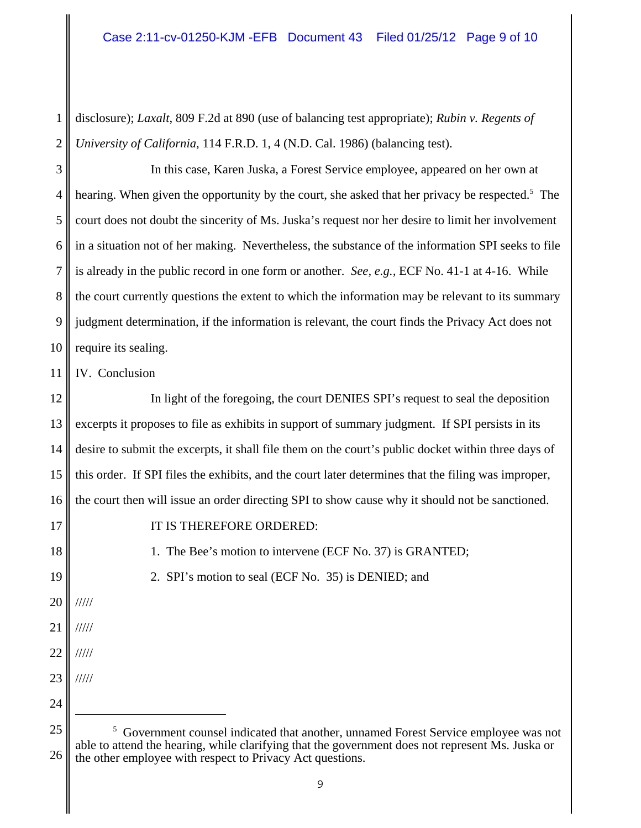1 2 disclosure); *Laxalt*, 809 F.2d at 890 (use of balancing test appropriate); *Rubin v. Regents of University of California*, 114 F.R.D. 1, 4 (N.D. Cal. 1986) (balancing test).

3 4 5 6 7 8 9 10 In this case, Karen Juska, a Forest Service employee, appeared on her own at hearing. When given the opportunity by the court, she asked that her privacy be respected.<sup>5</sup> The court does not doubt the sincerity of Ms. Juska's request nor her desire to limit her involvement in a situation not of her making. Nevertheless, the substance of the information SPI seeks to file is already in the public record in one form or another. *See, e.g.,* ECF No. 41-1 at 4-16. While the court currently questions the extent to which the information may be relevant to its summary judgment determination, if the information is relevant, the court finds the Privacy Act does not require its sealing.

11 IV. Conclusion

12 13 14 15 16 In light of the foregoing, the court DENIES SPI's request to seal the deposition excerpts it proposes to file as exhibits in support of summary judgment. If SPI persists in its desire to submit the excerpts, it shall file them on the court's public docket within three days of this order. If SPI files the exhibits, and the court later determines that the filing was improper, the court then will issue an order directing SPI to show cause why it should not be sanctioned.

17 18

19

20

/////

/////

/////

/////

21

22

23

IT IS THEREFORE ORDERED:

1. The Bee's motion to intervene (ECF No. 37) is GRANTED;

2. SPI's motion to seal (ECF No. 35) is DENIED; and

<sup>24</sup>

<sup>25</sup> 26 <sup>5</sup> Government counsel indicated that another, unnamed Forest Service employee was not able to attend the hearing, while clarifying that the government does not represent Ms. Juska or the other employee with respect to Privacy Act questions.